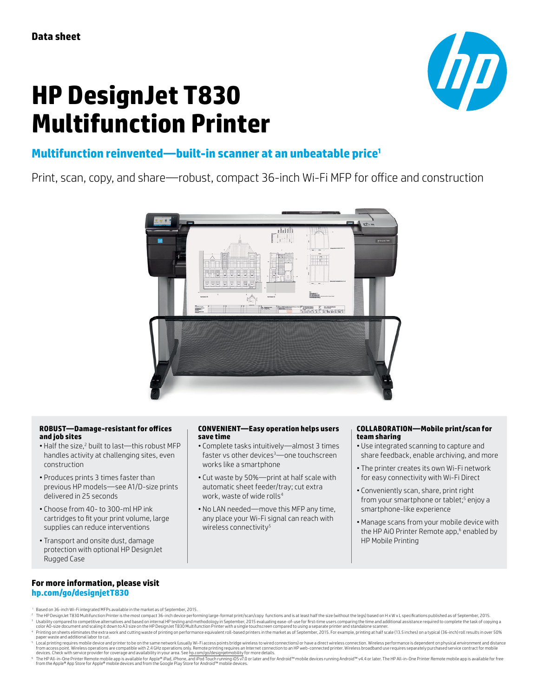# **HP DesignJet T830 Multifunction Printer**



# **Multifunction reinvented—built-in scanner at an unbeatable price<sup>1</sup>**

Print, scan, copy, and share—robust, compact 36-inch Wi-Fi MFP for office and construction



#### **ROBUST—Damage-resistant for offices and job sites**

- Half the size,<sup>2</sup> built to last—this robust MFP handles activity at challenging sites, even construction
- Produces prints 3 times faster than previous HP models—see A1/D-size prints delivered in 25 seconds
- Choose from 40- to 300-ml HP ink cartridges to fit your print volume, large supplies can reduce interventions
- Transport and onsite dust, damage protection with optional HP DesignJet Rugged Case

#### **CONVENIENT—Easy operation helps users save time**

- Complete tasks intuitively—almost 3 times faster vs other devices<sup>3</sup> - one touchscreen works like a smartphone
- Cut waste by 50%—print at half scale with automatic sheet feeder/tray; cut extra work, waste of wide rolls<sup>4</sup>
- No LAN needed—move this MFP any time, any place your Wi-Fi signal can reach with wireless connectivity<sup>5</sup>

#### **COLLABORATION—Mobile print/scan for team sharing**

- Use integrated scanning to capture and share feedback, enable archiving, and more
- The printer creates its own Wi-Fi network for easy connectivity with Wi-Fi Direct
- Conveniently scan, share, print right from your smartphone or tablet;<sup>5</sup> enjoy a smartphone-like experience
- Manage scans from your mobile device with the HP AiO Printer Remote app,<sup>6</sup> enabled by HP Mobile Printing

### **For more information, please visit [hp.com/go/designjetT830](http://hp.com/go/designjetT830)**

- <sup>1</sup> Based on 36-inch Wi-Fi integrated MFPs available in the market as of September, 2015.
- 2 The HP DesignJet T830 Multifunction Printer is the most compact 36-inch device performing large-format print/scan/copy functions and is at least half the size (without the legs) based on H x W x L specifications publishe Pubability compared to competitive alternatives and based on internal HP testing and methodology in September, 2015 evaluating ease-of-use for first-time users compared to using a separate printer and standalone scanner.<br>C
- Printing on sheets eliminates the extra work and cutting waste of printing on performance equivalent roll-based printers in the market as of September, 2015. For example, printing at half scale (13.5 inches) on a typical ( paper waste and additional labor to cut.
- <sup>s</sup> Local printing requires mobile device and printer to be on the same network (usually Wi-Fi access points bridge wireless to wired connections) or have a direct wireless connection. Wireless performance is dependent on
- © The HP All-in-One Printer Remote mobile depis available for Apple® Pad,iPhone, and iPod Touch running iOS v7.0 or later and for Android™ mobile devices running Android™ v4.4 or later. The HP All-in-One Printer Remote mo